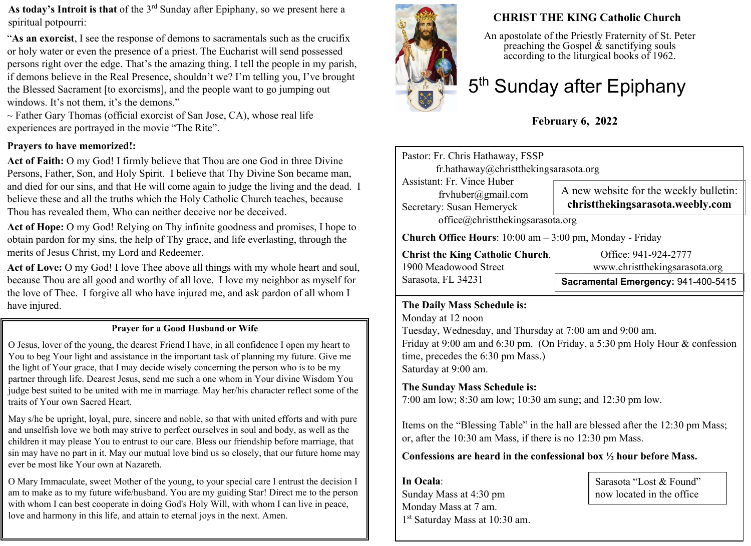**As today's Introit is that** of the 3rd Sunday after Epiphany, so we present here a spiritual potpourri:

"**As an exorcist**, I see the response of demons to sacramentals such as the crucifix or holy water or even the presence of a priest. The Eucharist will send possessed persons right over the edge. That's the amazing thing. I tell the people in my parish, if demons believe in the Real Presence, shouldn't we? I'm telling you, I've brought the Blessed Sacrament [to exorcisms], and the people want to go jumping out windows. It's not them, it's the demons."

 $\sim$  Father Gary Thomas (official exorcist of San Jose, CA), whose real life experiences are portrayed in the movie "The Rite".

#### **Prayers to have memorized!:**

**Act of Faith:** O my God! I firmly believe that Thou are one God in three Divine Persons, Father, Son, and Holy Spirit. I believe that Thy Divine Son became man, and died for our sins, and that He will come again to judge the living and the dead. I believe these and all the truths which the Holy Catholic Church teaches, because Thou has revealed them, Who can neither deceive nor be deceived.

**Act of Hope:** O my God! Relying on Thy infinite goodness and promises, I hope to obtain pardon for my sins, the help of Thy grace, and life everlasting, through the merits of Jesus Christ, my Lord and Redeemer.

**Act of Love:** O my God! I love Thee above all things with my whole heart and soul, because Thou are all good and worthy of all love. I love my neighbor as myself for the love of Thee. I forgive all who have injured me, and ask pardon of all whom I have injured.

#### **Prayer for a Good Husband or Wife**

O Jesus, lover of the young, the dearest Friend I have, in all confidence I open my heart to You to beg Your light and assistance in the important task of planning my future. Give me the light of Your grace, that I may decide wisely concerning the person who is to be my partner through life. Dearest Jesus, send me such a one whom in Your divine Wisdom You judge best suited to be united with me in marriage. May her/his character reflect some of the traits of Your own Sacred Heart.

May s/he be upright, loyal, pure, sincere and noble, so that with united efforts and with pure and unselfish love we both may strive to perfect ourselves in soul and body, as well as the children it may please You to entrust to our care. Bless our friendship before marriage, that sin may have no part in it. May our mutual love bind us so closely, that our future home may ever be most like Your own at Nazareth.

O Mary Immaculate, sweet Mother of the young, to your special care I entrust the decision I am to make as to my future wife/husband. You are my guiding Star! Direct me to the person with whom I can best cooperate in doing God's Holy Will, with whom I can live in peace, love and harmony in this life, and attain to eternal joys in the next. Amen.



### **CHRIST THE KING Catholic Church**

An apostolate of the Priestly Fraternity of St. Peter preaching the Gospel  $\&$  sanctifying souls according to the liturgical books of 1962.

# 5<sup>th</sup> Sunday after Epiphany

## **February 6, 2022**

Pastor: Fr. Chris Hathaway, FSSP fr.hathaway@christthekingsarasota.org Assistant: Fr. Vince Huber frvhuber@gmail.com Secretary: Susan Hemeryck office@christthekingsarasota.org **Church Office Hours**: 10:00 am – 3:00 pm, Monday - Friday **Christ the King Catholic Church.** Office: 941-924-2777 1900 Meadowood Street www.christthekingsarasota.org A new website for the weekly bulletin: **christthekingsarasota.weebly.com**

**Sacramental Emergency:** 941-400-5415

#### **The Daily Mass Schedule is:**

Sarasota, FL 34231

Monday at 12 noon Tuesday, Wednesday, and Thursday at 7:00 am and 9:00 am. Friday at 9:00 am and 6:30 pm. (On Friday, a 5:30 pm Holy Hour & confession time, precedes the 6:30 pm Mass.) Saturday at 9:00 am.

#### **The Sunday Mass Schedule is:**

7:00 am low; 8:30 am low; 10:30 am sung; and 12:30 pm low.

Items on the "Blessing Table" in the hall are blessed after the 12:30 pm Mass; or, after the 10:30 am Mass, if there is no 12:30 pm Mass.

**Confessions are heard in the confessional box ½ hour before Mass.** 

**In Ocala**: Sunday Mass at 4:30 pm Monday Mass at 7 am. 1 st Saturday Mass at 10:30 am. Sarasota "Lost & Found" now located in the office